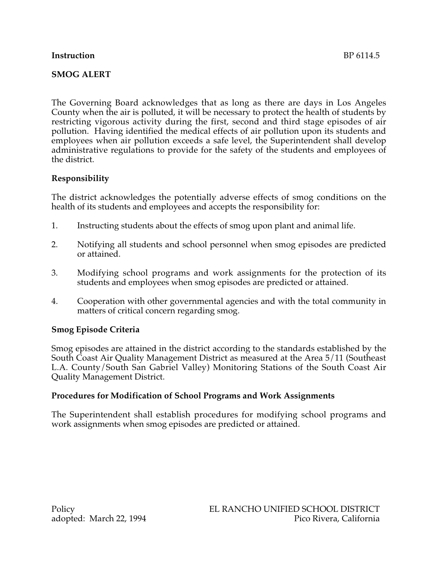# **Instruction** BP 6114.5

# **SMOG ALERT**

The Governing Board acknowledges that as long as there are days in Los Angeles County when the air is polluted, it will be necessary to protect the health of students by restricting vigorous activity during the first, second and third stage episodes of air pollution. Having identified the medical effects of air pollution upon its students and employees when air pollution exceeds a safe level, the Superintendent shall develop administrative regulations to provide for the safety of the students and employees of the district.

# **Responsibility**

The district acknowledges the potentially adverse effects of smog conditions on the health of its students and employees and accepts the responsibility for:

- 1. Instructing students about the effects of smog upon plant and animal life.
- 2. Notifying all students and school personnel when smog episodes are predicted or attained.
- 3. Modifying school programs and work assignments for the protection of its students and employees when smog episodes are predicted or attained.
- 4. Cooperation with other governmental agencies and with the total community in matters of critical concern regarding smog.

# **Smog Episode Criteria**

Smog episodes are attained in the district according to the standards established by the South Coast Air Quality Management District as measured at the Area 5/11 (Southeast L.A. County/South San Gabriel Valley) Monitoring Stations of the South Coast Air Quality Management District.

# **Procedures for Modification of School Programs and Work Assignments**

The Superintendent shall establish procedures for modifying school programs and work assignments when smog episodes are predicted or attained.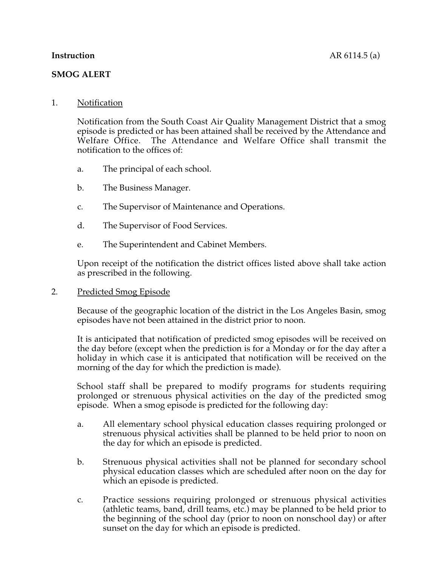#### **SMOG ALERT**

#### 1. Notification

Notification from the South Coast Air Quality Management District that a smog episode is predicted or has been attained shall be received by the Attendance and Welfare Office. The Attendance and Welfare Office shall transmit the notification to the offices of:

- a. The principal of each school.
- b. The Business Manager.
- c. The Supervisor of Maintenance and Operations.
- d. The Supervisor of Food Services.
- e. The Superintendent and Cabinet Members.

Upon receipt of the notification the district offices listed above shall take action as prescribed in the following.

#### 2. Predicted Smog Episode

Because of the geographic location of the district in the Los Angeles Basin, smog episodes have not been attained in the district prior to noon.

It is anticipated that notification of predicted smog episodes will be received on the day before (except when the prediction is for a Monday or for the day after a holiday in which case it is anticipated that notification will be received on the morning of the day for which the prediction is made).

School staff shall be prepared to modify programs for students requiring prolonged or strenuous physical activities on the day of the predicted smog episode. When a smog episode is predicted for the following day:

- a. All elementary school physical education classes requiring prolonged or strenuous physical activities shall be planned to be held prior to noon on the day for which an episode is predicted.
- b. Strenuous physical activities shall not be planned for secondary school physical education classes which are scheduled after noon on the day for which an episode is predicted.
- c. Practice sessions requiring prolonged or strenuous physical activities (athletic teams, band, drill teams, etc.) may be planned to be held prior to the beginning of the school day (prior to noon on nonschool day) or after sunset on the day for which an episode is predicted.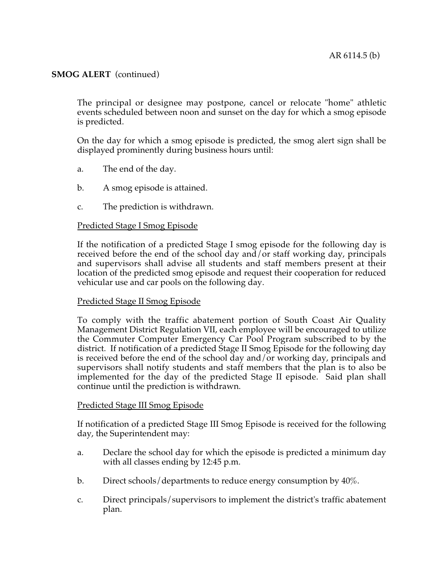The principal or designee may postpone, cancel or relocate "home" athletic events scheduled between noon and sunset on the day for which a smog episode is predicted.

On the day for which a smog episode is predicted, the smog alert sign shall be displayed prominently during business hours until:

- a. The end of the day.
- b. A smog episode is attained.
- c. The prediction is withdrawn.

#### Predicted Stage I Smog Episode

If the notification of a predicted Stage I smog episode for the following day is received before the end of the school day and/or staff working day, principals and supervisors shall advise all students and staff members present at their location of the predicted smog episode and request their cooperation for reduced vehicular use and car pools on the following day.

#### Predicted Stage II Smog Episode

To comply with the traffic abatement portion of South Coast Air Quality Management District Regulation VII, each employee will be encouraged to utilize the Commuter Computer Emergency Car Pool Program subscribed to by the district. If notification of a predicted Stage II Smog Episode for the following day is received before the end of the school day and/or working day, principals and supervisors shall notify students and staff members that the plan is to also be implemented for the day of the predicted Stage II episode. Said plan shall continue until the prediction is withdrawn.

#### Predicted Stage III Smog Episode

If notification of a predicted Stage III Smog Episode is received for the following day, the Superintendent may:

- a. Declare the school day for which the episode is predicted a minimum day with all classes ending by 12:45 p.m.
- b. Direct schools/departments to reduce energy consumption by 40%.
- c. Direct principals/supervisors to implement the district's traffic abatement plan.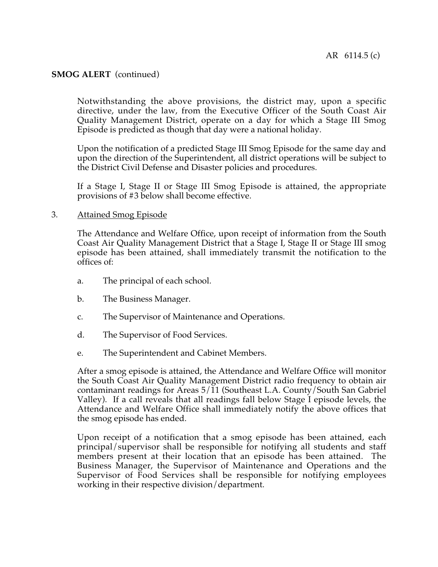Notwithstanding the above provisions, the district may, upon a specific directive, under the law, from the Executive Officer of the South Coast Air Quality Management District, operate on a day for which a Stage III Smog Episode is predicted as though that day were a national holiday.

Upon the notification of a predicted Stage III Smog Episode for the same day and upon the direction of the Superintendent, all district operations will be subject to the District Civil Defense and Disaster policies and procedures.

If a Stage I, Stage II or Stage III Smog Episode is attained, the appropriate provisions of #3 below shall become effective.

#### 3. Attained Smog Episode

The Attendance and Welfare Office, upon receipt of information from the South Coast Air Quality Management District that a Stage I, Stage II or Stage III smog episode has been attained, shall immediately transmit the notification to the offices of:

- a. The principal of each school.
- b. The Business Manager.
- c. The Supervisor of Maintenance and Operations.
- d. The Supervisor of Food Services.
- e. The Superintendent and Cabinet Members.

After a smog episode is attained, the Attendance and Welfare Office will monitor the South Coast Air Quality Management District radio frequency to obtain air contaminant readings for Areas  $5/11$  (Southeast L.A. County/South San Gabriel Valley). If a call reveals that all readings fall below Stage I episode levels, the Attendance and Welfare Office shall immediately notify the above offices that the smog episode has ended.

Upon receipt of a notification that a smog episode has been attained, each principal/supervisor shall be responsible for notifying all students and staff members present at their location that an episode has been attained. The Business Manager, the Supervisor of Maintenance and Operations and the Supervisor of Food Services shall be responsible for notifying employees working in their respective division/department.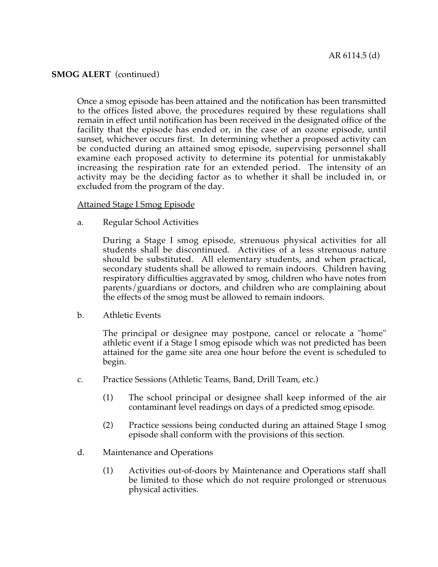Once a smog episode has been attained and the notification has been transmitted to the offices listed above, the procedures required by these regulations shall remain in effect until notification has been received in the designated office of the facility that the episode has ended or, in the case of an ozone episode, until sunset, whichever occurs first. In determining whether a proposed activity can be conducted during an attained smog episode, supervising personnel shall examine each proposed activity to determine its potential for unmistakably increasing the respiration rate for an extended period. The intensity of an activity may be the deciding factor as to whether it shall be included in, or excluded from the program of the day.

#### Attained Stage I Smog Episode

a. Regular School Activities

During a Stage I smog episode, strenuous physical activities for all students shall be discontinued. Activities of a less strenuous nature should be substituted. All elementary students, and when practical, secondary students shall be allowed to remain indoors. Children having respiratory difficulties aggravated by smog, children who have notes from parents/guardians or doctors, and children who are complaining about the effects of the smog must be allowed to remain indoors.

b. Athletic Events

The principal or designee may postpone, cancel or relocate a "home" athletic event if a Stage I smog episode which was not predicted has been attained for the game site area one hour before the event is scheduled to begin.

- c. Practice Sessions (Athletic Teams, Band, Drill Team, etc.)
	- (1) The school principal or designee shall keep informed of the air contaminant level readings on days of a predicted smog episode.
	- (2) Practice sessions being conducted during an attained Stage I smog episode shall conform with the provisions of this section.
- d. Maintenance and Operations
	- (1) Activities out-of-doors by Maintenance and Operations staff shall be limited to those which do not require prolonged or strenuous physical activities.